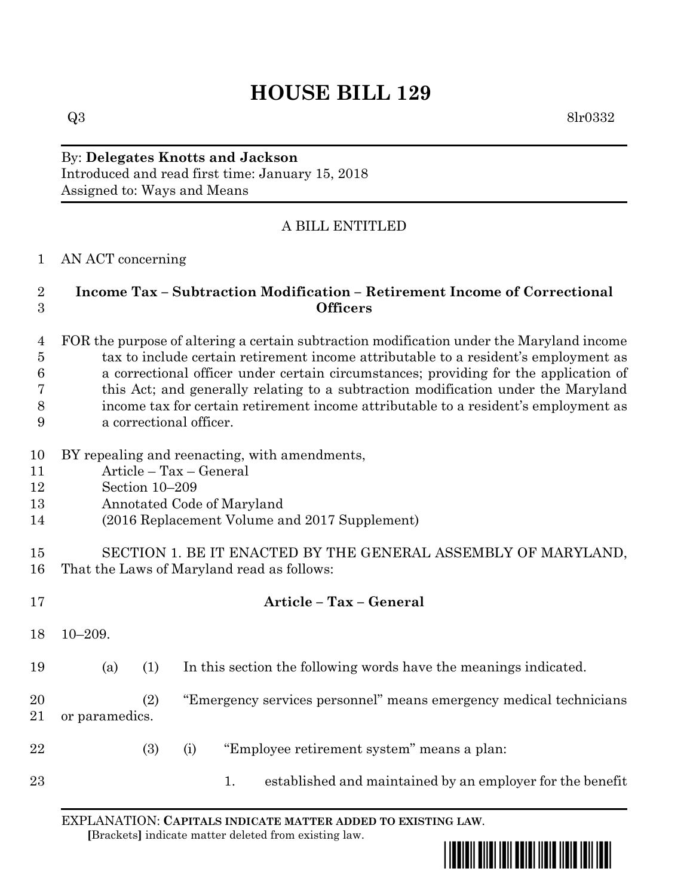# **HOUSE BILL 129**

 $Q3 \qquad \qquad 8\text{lr}0332$ 

### By: **Delegates Knotts and Jackson** Introduced and read first time: January 15, 2018 Assigned to: Ways and Means

## A BILL ENTITLED

#### AN ACT concerning

### **Income Tax – Subtraction Modification – Retirement Income of Correctional Officers**

#### FOR the purpose of altering a certain subtraction modification under the Maryland income tax to include certain retirement income attributable to a resident's employment as a correctional officer under certain circumstances; providing for the application of this Act; and generally relating to a subtraction modification under the Maryland income tax for certain retirement income attributable to a resident's employment as a correctional officer.

- BY repealing and reenacting, with amendments,
- Article Tax General
- Section 10–209
- Annotated Code of Maryland
- (2016 Replacement Volume and 2017 Supplement)

**Article – Tax – General**

 SECTION 1. BE IT ENACTED BY THE GENERAL ASSEMBLY OF MARYLAND, That the Laws of Maryland read as follows:

|          |                       |     |                                                                    | TIT ATA TA<br>TUX.<br><u>uvuviai</u>                             |
|----------|-----------------------|-----|--------------------------------------------------------------------|------------------------------------------------------------------|
| 18       | $10 - 209.$           |     |                                                                    |                                                                  |
| 19       | (a)                   | (1) |                                                                    | In this section the following words have the meanings indicated. |
| 20<br>21 | (2)<br>or paramedics. |     | "Emergency services personnel" means emergency medical technicians |                                                                  |
| 22       |                       | (3) | (i)                                                                | "Employee retirement system" means a plan:                       |
| 23       |                       |     |                                                                    | established and maintained by an employer for the benefit<br>1.  |

EXPLANATION: **CAPITALS INDICATE MATTER ADDED TO EXISTING LAW**.  **[**Brackets**]** indicate matter deleted from existing law.

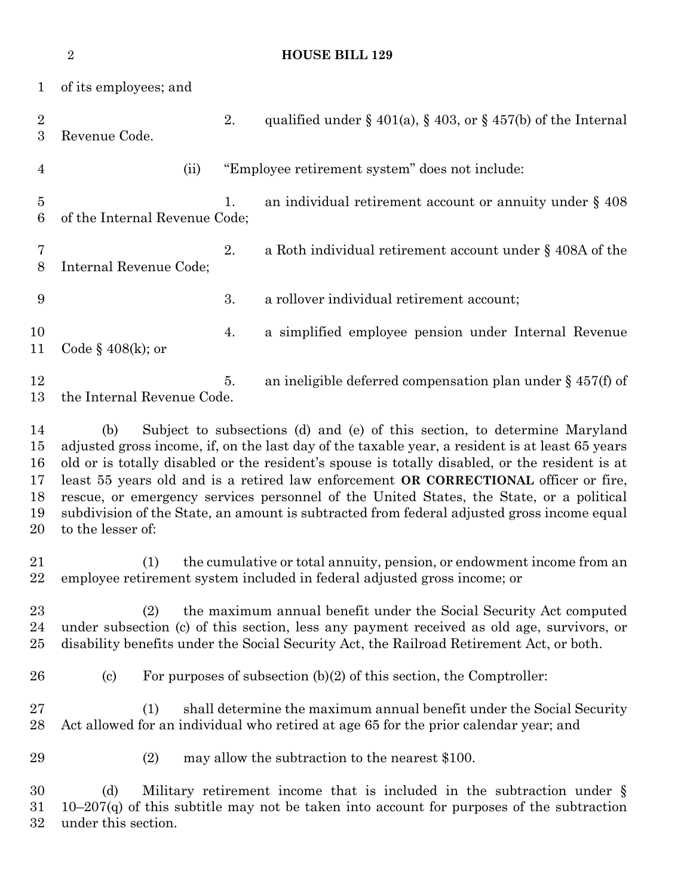**HOUSE BILL 129** of its employees; and 2. qualified under  $\S$  401(a),  $\S$  403, or  $\S$  457(b) of the Internal Revenue Code. (ii) "Employee retirement system" does not include: 5 1. an individual retirement account or annuity under § 408 of the Internal Revenue Code; 2. a Roth individual retirement account under § 408A of the Internal Revenue Code; 3. a rollover individual retirement account; 4. a simplified employee pension under Internal Revenue Code § 408(k); or 12 5. an ineligible deferred compensation plan under § 457(f) of the Internal Revenue Code. (b) Subject to subsections (d) and (e) of this section, to determine Maryland adjusted gross income, if, on the last day of the taxable year, a resident is at least 65 years old or is totally disabled or the resident's spouse is totally disabled, or the resident is at least 55 years old and is a retired law enforcement **OR CORRECTIONAL** officer or fire, rescue, or emergency services personnel of the United States, the State, or a political subdivision of the State, an amount is subtracted from federal adjusted gross income equal to the lesser of: (1) the cumulative or total annuity, pension, or endowment income from an employee retirement system included in federal adjusted gross income; or (2) the maximum annual benefit under the Social Security Act computed under subsection (c) of this section, less any payment received as old age, survivors, or disability benefits under the Social Security Act, the Railroad Retirement Act, or both. 26 (c) For purposes of subsection  $(b)(2)$  of this section, the Comptroller: (1) shall determine the maximum annual benefit under the Social Security Act allowed for an individual who retired at age 65 for the prior calendar year; and (2) may allow the subtraction to the nearest \$100. (d) Military retirement income that is included in the subtraction under § 10–207(q) of this subtitle may not be taken into account for purposes of the subtraction

under this section.